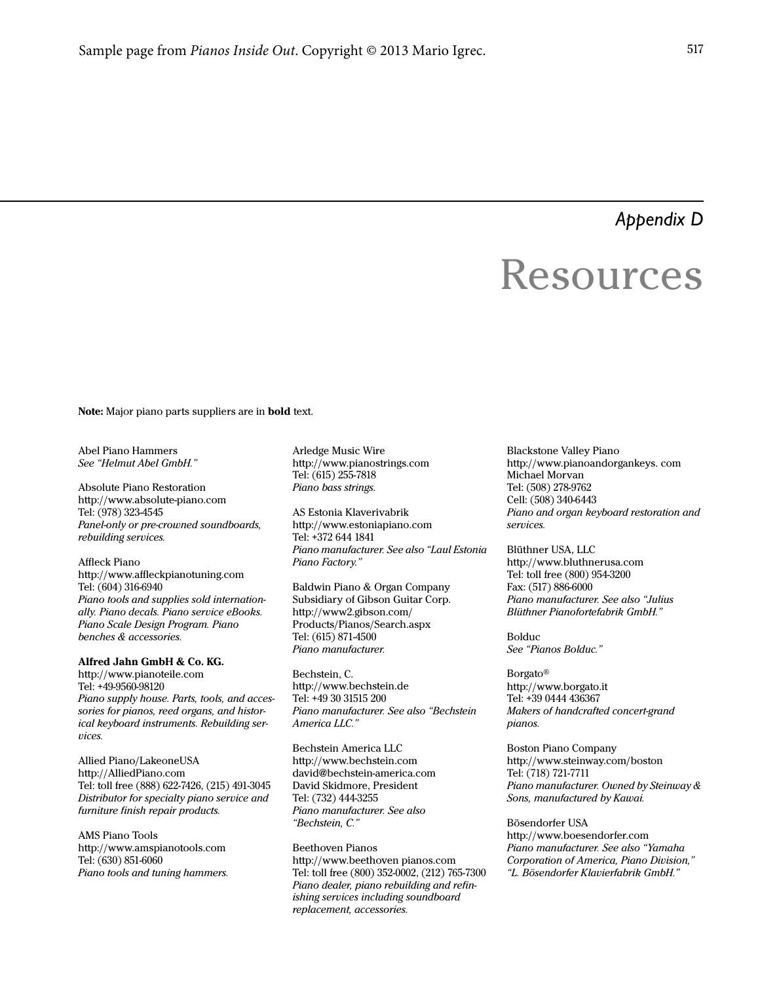*Appendix D*

# Resources

Note: Major piano parts suppliers are in bold text.

Abel Piano Hammers See "Helmut Abel GmbH."

Absolute Piano Restoration http://www.absolute-piano.com Tel: (978) 323-4545 Panel-only or pre-crowned soundboards, rebuilding services.

Affleck Piano http://www.affleckpianotuning.com Tel: (604) 316-6940 Piano tools and supplies sold internationally. Piano decals. Piano service eBooks. Piano Scale Design Program. Piano benches & accessories.

## Alfred Jahn GmbH & Co. KG.

http://www.pianoteile.com Tel: +49-9560-98120 Piano supply house. Parts, tools, and accessories for pianos, reed organs, and historical keyboard instruments. Rebuilding services.

Allied Piano/LakeoneUSA http://AlliedPiano.com Tel: toll free (888) 622-7426, (215) 491-3045 Distributor for specialty piano service and furniture finish repair products.

AMS Piano Tools http://www.amspianotools.com Tel: (630) 851-6060 Piano tools and tuning hammers.

Arledge Music Wire http://www.pianostrings.com Tel: (615) 255-7818 Piano bass strings.

AS Estonia Klaverivabrik http://www.estoniapiano.com Tel: +372 644 1841 Piano manufacturer. See also "Laul Estonia Piano Factory."

Baldwin Piano & Organ Company Subsidiary of Gibson Guitar Corp. http://www2.gibson.com/ Products/Pianos/Search.aspx Tel: (615) 871-4500 Piano manufacturer.

Bechstein, C. http://www.bechstein.de Tel: +49 30 31515 200 Piano manufacturer. See also "Bechstein America LLC."

Bechstein America LLC http://www.bechstein.com david@bechstein-america.com David Skidmore, President Tel: (732) 444-3255 Piano manufacturer. See also "Bechstein, C."

Beethoven Pianos http://www.beethoven pianos.com Tel: toll free (800) 352-0002, (212) 765-7300 Piano dealer, piano rebuilding and refinishing services including soundboard replacement, accessories.

Blackstone Valley Piano http://www.pianoandorgankeys. com Michael Morvan Tel: (508) 278-9762 Cell: (508) 340-6443 Piano and organ keyboard restoration and services.

Blüthner USA, LLC http://www.bluthnerusa.com Tel: toll free (800) 954-3200 Fax: (517) 886-6000 Piano manufacturer. See also "Julius Blüthner Pianofortefabrik GmbH."

Bolduc See "Pianos Bolduc."

Borgato® http://www.borgato.it Tel: +39 0444 436367 Makers of handcrafted concert-grand pianos.

Boston Piano Company http://www.steinway.com/boston Tel: (718) 721-7711 Piano manufacturer. Owned by Steinway & Sons, manufactured by Kawai.

Bösendorfer USA http://www.boesendorfer.com Piano manufacturer. See also "Yamaha Corporation of America, Piano Division," "L. Bösendorfer Klavierfabrik GmbH."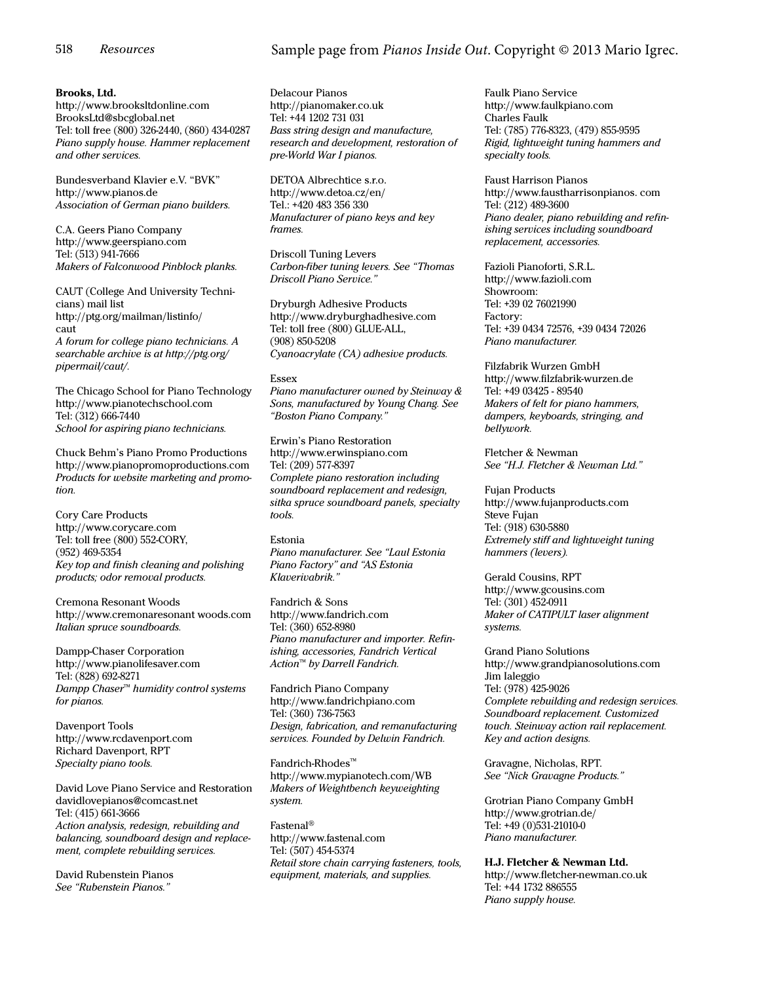# Sample page from *Pianos Inside Out*. Copyright © 2013 Mario Igrec.

#### Brooks, Ltd.

http://www.brooksltdonline.com BrooksLtd@sbcglobal.net Tel: toll free (800) 326-2440, (860) 434-0287 Piano supply house. Hammer replacement and other services.

Bundesverband Klavier e.V. "BVK" http://www.pianos.de Association of German piano builders.

C.A. Geers Piano Company http://www.geerspiano.com Tel: (513) 941-7666 Makers of Falconwood Pinblock planks.

CAUT (College And University Technicians) mail list http://ptg.org/mailman/listinfo/ caut A forum for college piano technicians. A searchable archive is at http://ptg.org/ pipermail/caut/.

The Chicago School for Piano Technology http://www.pianotechschool.com Tel: (312) 666-7440 School for aspiring piano technicians.

Chuck Behm's Piano Promo Productions http://www.pianopromoproductions.com Products for website marketing and promotion.

Cory Care Products http://www.corycare.com Tel: toll free (800) 552-CORY, (952) 469-5354 Key top and finish cleaning and polishing products; odor removal products.

Cremona Resonant Woods http://www.cremonaresonant woods.com Italian spruce soundboards.

Dampp-Chaser Corporation http://www.pianolifesaver.com Tel: (828) 692-8271 Dampp Chaser<sup>™</sup> humidity control systems for pianos.

Davenport Tools http://www.rcdavenport.com Richard Davenport, RPT Specialty piano tools.

David Love Piano Service and Restoration davidlovepianos@comcast.net Tel: (415) 661-3666 Action analysis, redesign, rebuilding and balancing, soundboard design and replacement, complete rebuilding services.

David Rubenstein Pianos See "Rubenstein Pianos."

Delacour Pianos http://pianomaker.co.uk Tel: +44 1202 731 031 Bass string design and manufacture, research and development, restoration of pre-World War I pianos.

DETOA Albrechtice s.r.o. http://www.detoa.cz/en/ Tel.: +420 483 356 330 Manufacturer of piano keys and key frames.

Driscoll Tuning Levers Carbon-fiber tuning levers. See "Thomas Driscoll Piano Service."

Dryburgh Adhesive Products http://www.dryburghadhesive.com Tel: toll free (800) GLUE-ALL, (908) 850-5208 Cyanoacrylate (CA) adhesive products.

#### Essex

Piano manufacturer owned by Steinway & Sons, manufactured by Young Chang. See "Boston Piano Company."

Erwin's Piano Restoration http://www.erwinspiano.com Tel: (209) 577-8397 Complete piano restoration including soundboard replacement and redesign, sitka spruce soundboard panels, specialty tools.

Estonia Piano manufacturer. See "Laul Estonia Piano Factory" and "AS Estonia Klaverivabrik."

Fandrich & Sons http://www.fandrich.com Tel: (360) 652-8980 Piano manufacturer and importer. Refinishing, accessories, Fandrich Vertical Action™ by Darrell Fandrich.

Fandrich Piano Company http://www.fandrichpiano.com Tel: (360) 736-7563 Design, fabrication, and remanufacturing services. Founded by Delwin Fandrich.

Fandrich-Rhodes™ http://www.mypianotech.com/WB Makers of Weightbench keyweighting system.

Fastenal® http://www.fastenal.com Tel: (507) 454-5374 Retail store chain carrying fasteners, tools, equipment, materials, and supplies.

Faulk Piano Service http://www.faulkpiano.com Charles Faulk Tel: (785) 776-8323, (479) 855-9595 Rigid, lightweight tuning hammers and specialty tools.

Faust Harrison Pianos http://www.faustharrisonpianos. com Tel: (212) 489-3600 Piano dealer, piano rebuilding and refinishing services including soundboard replacement, accessories.

Fazioli Pianoforti, S.R.L. http://www.fazioli.com Showroom: Tel: +39 02 76021990 Factory: Tel: +39 0434 72576, +39 0434 72026 Piano manufacturer.

Filzfabrik Wurzen GmbH http://www.filzfabrik-wurzen.de Tel: +49 03425 - 89540 Makers of felt for piano hammers, dampers, keyboards, stringing, and bellywork.

Fletcher & Newman See "H.J. Fletcher & Newman Ltd."

Fujan Products http://www.fujanproducts.com Steve Fujan Tel: (918) 630-5880 Extremely stiff and lightweight tuning hammers (levers).

Gerald Cousins, RPT http://www.gcousins.com Tel: (301) 452-0911 Maker of CATIPULT laser alignment systems.

Grand Piano Solutions http://www.grandpianosolutions.com Jim Ialeggio Tel: (978) 425-9026 Complete rebuilding and redesign services. Soundboard replacement. Customized touch. Steinway action rail replacement. Key and action designs.

Gravagne, Nicholas, RPT. See "Nick Gravagne Products."

Grotrian Piano Company GmbH http://www.grotrian.de/ Tel: +49 (0)531-21010-0 Piano manufacturer.

# H.J. Fletcher & Newman Ltd.

http://www.fletcher-newman.co.uk Tel: +44 1732 886555 Piano supply house.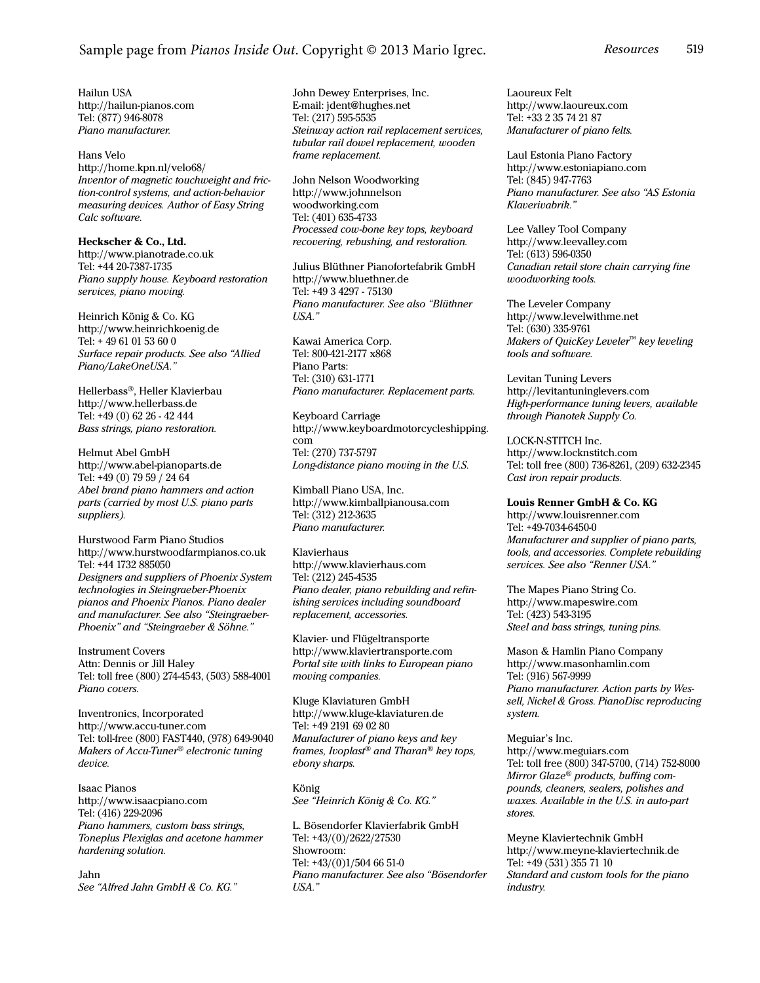Hailun USA http://hailun-pianos.com Tel: (877) 946-8078 Piano manufacturer.

## Hans Velo http://home.kpn.nl/velo68/ Inventor of magnetic touchweight and friction-control systems, and action-behavior measuring devices. Author of Easy String Calc software.

Heckscher & Co., Ltd. http://www.pianotrade.co.uk Tel: +44 20-7387-1735 Piano supply house. Keyboard restoration services, piano moving.

Heinrich König & Co. KG http://www.heinrichkoenig.de Tel: + 49 61 01 53 60 0 Surface repair products. See also "Allied Piano/LakeOneUSA."

Hellerbass®, Heller Klavierbau http://www.hellerbass.de Tel: +49 (0) 62 26 - 42 444 Bass strings, piano restoration.

Helmut Abel GmbH http://www.abel-pianoparts.de Tel: +49 (0) 79 59 / 24 64 Abel brand piano hammers and action parts (carried by most U.S. piano parts suppliers).

Hurstwood Farm Piano Studios http://www.hurstwoodfarmpianos.co.uk Tel: +44 1732 885050 Designers and suppliers of Phoenix System technologies in Steingraeber-Phoenix pianos and Phoenix Pianos. Piano dealer and manufacturer. See also "Steingraeber-Phoenix" and "Steingraeber & Söhne."

Instrument Covers Attn: Dennis or Jill Haley Tel: toll free (800) 274-4543, (503) 588-4001 Piano covers.

Inventronics, Incorporated http://www.accu-tuner.com Tel: toll-free (800) FAST440, (978) 649-9040 Makers of Accu-Tuner® electronic tuning device.

Isaac Pianos http://www.isaacpiano.com Tel: (416) 229-2096 Piano hammers, custom bass strings, Toneplus Plexiglas and acetone hammer hardening solution.

Jahn See "Alfred Jahn GmbH & Co. KG." John Dewey Enterprises, Inc. E-mail: jdent@hughes.net Tel: (217) 595-5535 Steinway action rail replacement services, tubular rail dowel replacement, wooden frame replacement.

John Nelson Woodworking http://www.johnnelson woodworking.com Tel: (401) 635-4733 Processed cow-bone key tops, keyboard recovering, rebushing, and restoration.

Julius Blüthner Pianofortefabrik GmbH http://www.bluethner.de Tel: +49 3 4297 - 75130 Piano manufacturer. See also "Blüthner USA."

Kawai America Corp. Tel: 800-421-2177 x868 Piano Parts: Tel: (310) 631-1771 Piano manufacturer. Replacement parts.

Keyboard Carriage http://www.keyboardmotorcycleshipping. com Tel: (270) 737-5797 Long-distance piano moving in the U.S.

Kimball Piano USA, Inc. http://www.kimballpianousa.com Tel: (312) 212-3635 Piano manufacturer.

Klavierhaus http://www.klavierhaus.com Tel: (212) 245-4535 Piano dealer, piano rebuilding and refinishing services including soundboard replacement, accessories.

Klavier- und Flügeltransporte http://www.klaviertransporte.com Portal site with links to European piano moving companies.

Kluge Klaviaturen GmbH http://www.kluge-klaviaturen.de Tel: +49 2191 69 02 80 Manufacturer of piano keys and key frames, Ivoplast® and Tharan® key tops, ebony sharps.

König See "Heinrich König & Co. KG."

L. Bösendorfer Klavierfabrik GmbH Tel: +43/(0)/2622/27530 Showroom: Tel: +43/(0)1/504 66 51-0 Piano manufacturer. See also "Bösendorfer USA."

Laoureux Felt http://www.laoureux.com Tel: +33 2 35 74 21 87 Manufacturer of piano felts.

Laul Estonia Piano Factory http://www.estoniapiano.com Tel: (845) 947-7763 Piano manufacturer. See also "AS Estonia Klaverivabrik."

Lee Valley Tool Company http://www.leevalley.com Tel: (613) 596-0350 Canadian retail store chain carrying fine woodworking tools.

The Leveler Company http://www.levelwithme.net Tel: (630) 335-9761 Makers of QuicKey Leveler™ key leveling tools and software.

Levitan Tuning Levers http://levitantuninglevers.com High-performance tuning levers, available through Pianotek Supply Co.

LOCK-N-STITCH Inc. http://www.locknstitch.com Tel: toll free (800) 736-8261, (209) 632-2345 Cast iron repair products.

Louis Renner GmbH & Co. KG http://www.louisrenner.com Tel: +49-7034-6450-0 Manufacturer and supplier of piano parts, tools, and accessories. Complete rebuilding services. See also "Renner USA."

The Mapes Piano String Co. http://www.mapeswire.com Tel: (423) 543-3195 Steel and bass strings, tuning pins.

Mason & Hamlin Piano Company http://www.masonhamlin.com Tel: (916) 567-9999 Piano manufacturer. Action parts by Wessell, Nickel & Gross. PianoDisc reproducing system.

Meguiar's Inc. http://www.meguiars.com Tel: toll free (800) 347-5700, (714) 752-8000 Mirror Glaze® products, buffing compounds, cleaners, sealers, polishes and waxes. Available in the U.S. in auto-part stores.

Meyne Klaviertechnik GmbH http://www.meyne-klaviertechnik.de Tel: +49 (531) 355 71 10 Standard and custom tools for the piano industry.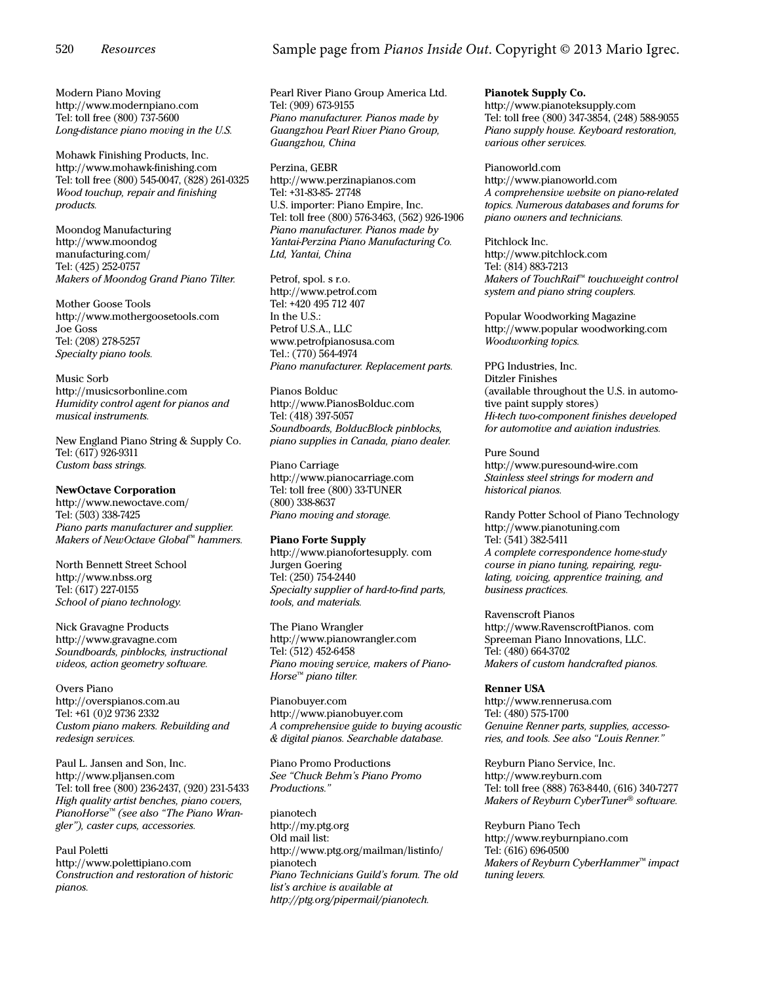Modern Piano Moving http://www.modernpiano.com Tel: toll free (800) 737-5600 Long-distance piano moving in the U.S.

Mohawk Finishing Products, Inc. http://www.mohawk-finishing.com Tel: toll free (800) 545-0047, (828) 261-0325 Wood touchup, repair and finishing products.

Moondog Manufacturing http://www.moondog manufacturing.com/ Tel: (425) 252-0757 Makers of Moondog Grand Piano Tilter.

Mother Goose Tools http://www.mothergoosetools.com Joe Goss Tel: (208) 278-5257 Specialty piano tools.

Music Sorb http://musicsorbonline.com Humidity control agent for pianos and musical instruments.

New England Piano String & Supply Co. Tel: (617) 926-9311 Custom bass strings.

## NewOctave Corporation

http://www.newoctave.com/ Tel: (503) 338-7425 Piano parts manufacturer and supplier. Makers of NewOctave Global™ hammers.

North Bennett Street School http://www.nbss.org Tel: (617) 227-0155 School of piano technology.

Nick Gravagne Products http://www.gravagne.com Soundboards, pinblocks, instructional videos, action geometry software.

Overs Piano http://overspianos.com.au Tel: +61 (0)2 9736 2332 Custom piano makers. Rebuilding and redesign services.

Paul L. Jansen and Son, Inc. http://www.pljansen.com Tel: toll free (800) 236-2437, (920) 231-5433 High quality artist benches, piano covers, PianoHorse™ (see also "The Piano Wrangler"), caster cups, accessories.

Paul Poletti http://www.polettipiano.com Construction and restoration of historic pianos.

# Sample page from *Pianos Inside Out*. Copyright © 2013 Mario Igrec.

Pearl River Piano Group America Ltd. Tel: (909) 673-9155 Piano manufacturer. Pianos made by Guangzhou Pearl River Piano Group, Guangzhou, China

Perzina, GEBR http://www.perzinapianos.com Tel: +31-83-85- 27748 U.S. importer: Piano Empire, Inc. Tel: toll free (800) 576-3463, (562) 926-1906 Piano manufacturer. Pianos made by Yantai-Perzina Piano Manufacturing Co. Ltd, Yantai, China

Petrof, spol. s r.o. http://www.petrof.com Tel: +420 495 712 407 In the U.S.: Petrof U.S.A., LLC www.petrofpianosusa.com Tel.: (770) 564-4974 Piano manufacturer. Replacement parts.

Pianos Bolduc http://www.PianosBolduc.com Tel: (418) 397-5057 Soundboards, BolducBlock pinblocks, piano supplies in Canada, piano dealer.

Piano Carriage http://www.pianocarriage.com Tel: toll free (800) 33-TUNER (800) 338-8637 Piano moving and storage.

## Piano Forte Supply

http://www.pianofortesupply. com Jurgen Goering Tel: (250) 754-2440 Specialty supplier of hard-to-find parts, tools, and materials.

The Piano Wrangler http://www.pianowrangler.com Tel: (512) 452-6458 Piano moving service, makers of Piano-Horse™ piano tilter.

Pianobuyer.com http://www.pianobuyer.com A comprehensive guide to buying acoustic & digital pianos. Searchable database.

Piano Promo Productions See "Chuck Behm's Piano Promo Productions."

pianotech http://my.ptg.org Old mail list: http://www.ptg.org/mailman/listinfo/ pianotech Piano Technicians Guild's forum. The old list's archive is available at http://ptg.org/pipermail/pianotech.

Pianotek Supply Co. http://www.pianoteksupply.com Tel: toll free (800) 347-3854, (248) 588-9055 Piano supply house. Keyboard restoration, various other services.

Pianoworld.com http://www.pianoworld.com A comprehensive website on piano-related topics. Numerous databases and forums for piano owners and technicians.

Pitchlock Inc. http://www.pitchlock.com Tel: (814) 883-7213 Makers of TouchRail™ touchweight control system and piano string couplers.

Popular Woodworking Magazine http://www.popular woodworking.com Woodworking topics.

PPG Industries, Inc. Ditzler Finishes (available throughout the U.S. in automotive paint supply stores) Hi-tech two-component finishes developed for automotive and aviation industries.

Pure Sound http://www.puresound-wire.com Stainless steel strings for modern and historical pianos.

Randy Potter School of Piano Technology http://www.pianotuning.com Tel: (541) 382-5411 A complete correspondence home-study course in piano tuning, repairing, regulating, voicing, apprentice training, and business practices.

Ravenscroft Pianos http://www.RavenscroftPianos. com Spreeman Piano Innovations, LLC. Tel: (480) 664-3702 Makers of custom handcrafted pianos.

#### Renner USA

http://www.rennerusa.com Tel: (480) 575-1700 Genuine Renner parts, supplies, accessories, and tools. See also "Louis Renner."

Reyburn Piano Service, Inc. http://www.reyburn.com Tel: toll free (888) 763-8440, (616) 340-7277 Makers of Reyburn CyberTuner<sup>®</sup> software.

Reyburn Piano Tech http://www.reyburnpiano.com Tel: (616) 696-0500 Makers of Reyburn CyberHammer™ impact tuning levers.